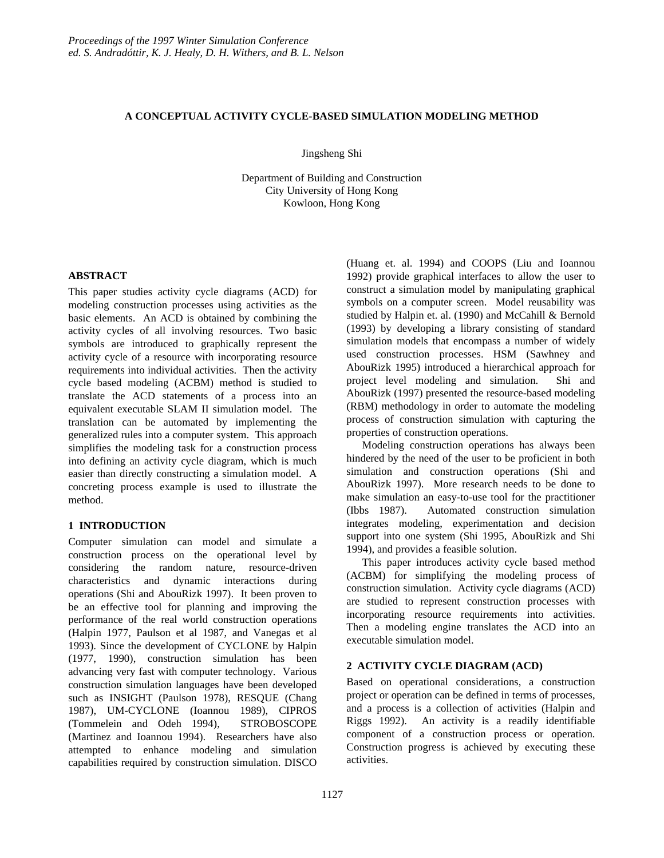# **A CONCEPTUAL ACTIVITY CYCLE-BASED SIMULATION MODELING METHOD**

Jingsheng Shi

Department of Building and Construction City University of Hong Kong Kowloon, Hong Kong

# **ABSTRACT**

This paper studies activity cycle diagrams (ACD) for modeling construction processes using activities as the basic elements. An ACD is obtained by combining the activity cycles of all involving resources. Two basic symbols are introduced to graphically represent the activity cycle of a resource with incorporating resource requirements into individual activities. Then the activity cycle based modeling (ACBM) method is studied to translate the ACD statements of a process into an equivalent executable SLAM II simulation model. The translation can be automated by implementing the generalized rules into a computer system. This approach simplifies the modeling task for a construction process into defining an activity cycle diagram, which is much easier than directly constructing a simulation model. A concreting process example is used to illustrate the method.

# **1 INTRODUCTION**

Computer simulation can model and simulate a construction process on the operational level by considering the random nature, resource-driven characteristics and dynamic interactions during operations (Shi and AbouRizk 1997). It been proven to be an effective tool for planning and improving the performance of the real world construction operations (Halpin 1977, Paulson et al 1987, and Vanegas et al 1993). Since the development of CYCLONE by Halpin (1977, 1990), construction simulation has been advancing very fast with computer technology. Various construction simulation languages have been developed such as INSIGHT (Paulson 1978), RESQUE (Chang 1987), UM-CYCLONE (Ioannou 1989), CIPROS (Tommelein and Odeh 1994), STROBOSCOPE (Martinez and Ioannou 1994). Researchers have also attempted to enhance modeling and simulation capabilities required by construction simulation. DISCO

(Huang et. al. 1994) and COOPS (Liu and Ioannou 1992) provide graphical interfaces to allow the user to construct a simulation model by manipulating graphical symbols on a computer screen. Model reusability was studied by Halpin et. al. (1990) and McCahill & Bernold (1993) by developing a library consisting of standard simulation models that encompass a number of widely used construction processes. HSM (Sawhney and AbouRizk 1995) introduced a hierarchical approach for project level modeling and simulation. Shi and AbouRizk (1997) presented the resource-based modeling (RBM) methodology in order to automate the modeling process of construction simulation with capturing the properties of construction operations.

Modeling construction operations has always been hindered by the need of the user to be proficient in both simulation and construction operations (Shi and AbouRizk 1997). More research needs to be done to make simulation an easy-to-use tool for the practitioner (Ibbs 1987). Automated construction simulation integrates modeling, experimentation and decision support into one system (Shi 1995, AbouRizk and Shi 1994), and provides a feasible solution.

This paper introduces activity cycle based method (ACBM) for simplifying the modeling process of construction simulation. Activity cycle diagrams (ACD) are studied to represent construction processes with incorporating resource requirements into activities. Then a modeling engine translates the ACD into an executable simulation model.

# **2 ACTIVITY CYCLE DIAGRAM (ACD)**

Based on operational considerations, a construction project or operation can be defined in terms of processes, and a process is a collection of activities (Halpin and Riggs 1992). An activity is a readily identifiable component of a construction process or operation. Construction progress is achieved by executing these activities.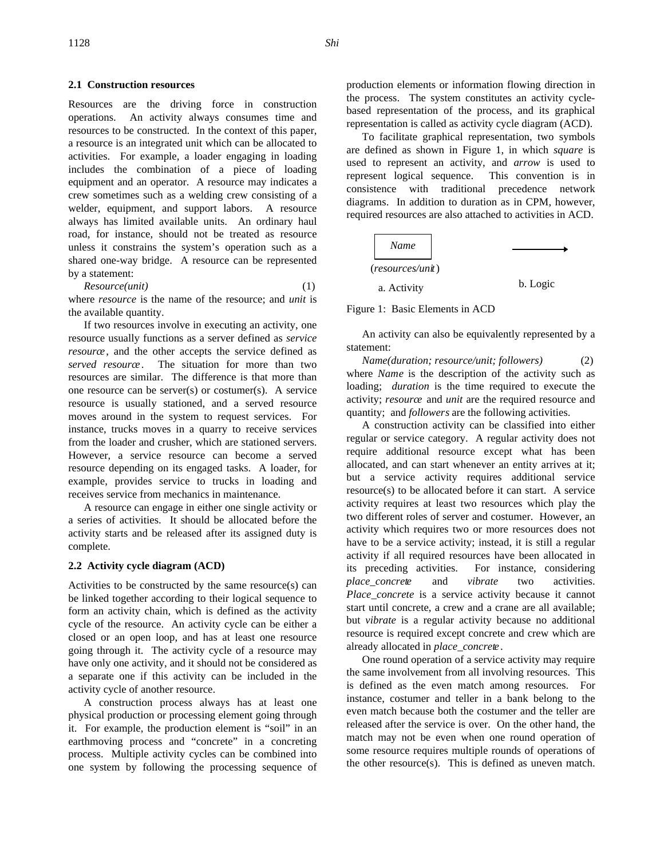#### **2.1 Construction resources**

Resources are the driving force in construction operations. An activity always consumes time and resources to be constructed. In the context of this paper, a resource is an integrated unit which can be allocated to activities. For example, a loader engaging in loading includes the combination of a piece of loading equipment and an operator. A resource may indicates a crew sometimes such as a welding crew consisting of a welder, equipment, and support labors. A resource always has limited available units. An ordinary haul road, for instance, should not be treated as resource unless it constrains the system's operation such as a shared one-way bridge. A resource can be represented by a statement:

$$
Resource(unit) \tag{1}
$$

where *resource* is the name of the resource; and *unit* is the available quantity.

If two resources involve in executing an activity, one resource usually functions as a server defined as *service resource* , and the other accepts the service defined as *served resource* . The situation for more than two resources are similar. The difference is that more than one resource can be server(s) or costumer(s). A service resource is usually stationed, and a served resource moves around in the system to request services. For instance, trucks moves in a quarry to receive services from the loader and crusher, which are stationed servers. However, a service resource can become a served resource depending on its engaged tasks. A loader, for example, provides service to trucks in loading and receives service from mechanics in maintenance.

A resource can engage in either one single activity or a series of activities. It should be allocated before the activity starts and be released after its assigned duty is complete.

#### **2.2 Activity cycle diagram (ACD)**

Activities to be constructed by the same resource(s) can be linked together according to their logical sequence to form an activity chain, which is defined as the activity cycle of the resource. An activity cycle can be either a closed or an open loop, and has at least one resource going through it. The activity cycle of a resource may have only one activity, and it should not be considered as a separate one if this activity can be included in the activity cycle of another resource.

A construction process always has at least one physical production or processing element going through it. For example, the production element is "soil" in an earthmoving process and "concrete" in a concreting process. Multiple activity cycles can be combined into one system by following the processing sequence of production elements or information flowing direction in the process. The system constitutes an activity cyclebased representation of the process, and its graphical representation is called as activity cycle diagram (ACD).

To facilitate graphical representation, two symbols are defined as shown in Figure 1, in which *square* is used to represent an activity, and *arrow* is used to represent logical sequence. This convention is in consistence with traditional precedence network diagrams. In addition to duration as in CPM, however, required resources are also attached to activities in ACD.



Figure 1: Basic Elements in ACD

An activity can also be equivalently represented by a statement:

*Name(duration; resource/unit; followers)* (2) where *Name* is the description of the activity such as loading; *duration* is the time required to execute the activity; *resource* and *unit* are the required resource and quantity; and *followers* are the following activities.

A construction activity can be classified into either regular or service category. A regular activity does not require additional resource except what has been allocated, and can start whenever an entity arrives at it; but a service activity requires additional service resource(s) to be allocated before it can start. A service activity requires at least two resources which play the two different roles of server and costumer. However, an activity which requires two or more resources does not have to be a service activity; instead, it is still a regular activity if all required resources have been allocated in its preceding activities. For instance, considering *place\_concrete* and *vibrate* two activities. *Place concrete* is a service activity because it cannot start until concrete, a crew and a crane are all available; but *vibrate* is a regular activity because no additional resource is required except concrete and crew which are already allocated in *place\_concrete* .

One round operation of a service activity may require the same involvement from all involving resources. This is defined as the even match among resources. For instance, costumer and teller in a bank belong to the even match because both the costumer and the teller are released after the service is over. On the other hand, the match may not be even when one round operation of some resource requires multiple rounds of operations of the other resource(s). This is defined as uneven match.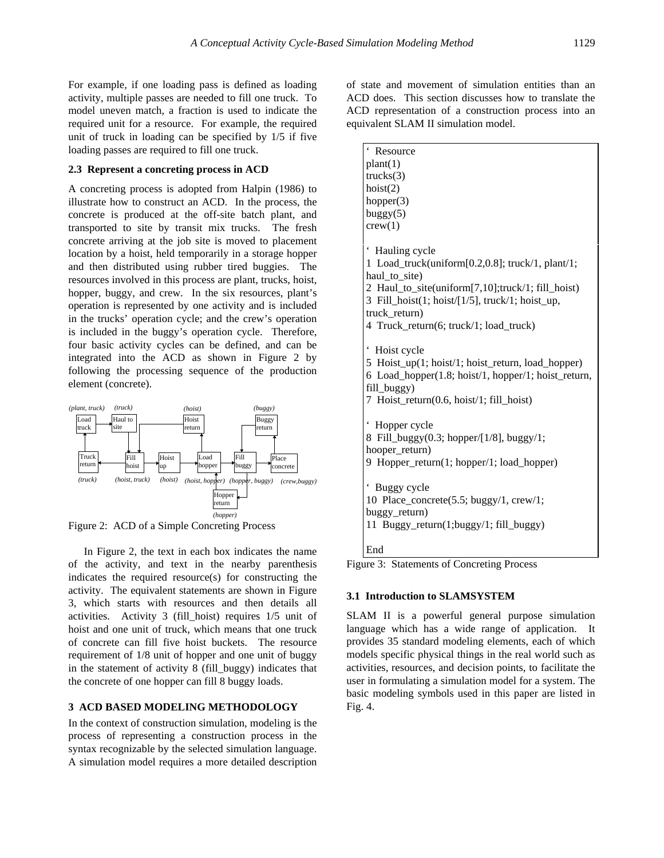For example, if one loading pass is defined as loading activity, multiple passes are needed to fill one truck. To model uneven match, a fraction is used to indicate the required unit for a resource. For example, the required unit of truck in loading can be specified by 1/5 if five loading passes are required to fill one truck.

## **2.3 Represent a concreting process in ACD**

A concreting process is adopted from Halpin (1986) to illustrate how to construct an ACD. In the process, the concrete is produced at the off-site batch plant, and transported to site by transit mix trucks. The fresh concrete arriving at the job site is moved to placement location by a hoist, held temporarily in a storage hopper and then distributed using rubber tired buggies. The resources involved in this process are plant, trucks, hoist, hopper, buggy, and crew. In the six resources, plant's operation is represented by one activity and is included in the trucks' operation cycle; and the crew's operation is included in the buggy's operation cycle. Therefore, four basic activity cycles can be defined, and can be integrated into the ACD as shown in Figure 2 by following the processing sequence of the production element (concrete).



Figure 2: ACD of a Simple Concreting Process

In Figure 2, the text in each box indicates the name of the activity, and text in the nearby parenthesis indicates the required resource(s) for constructing the activity. The equivalent statements are shown in Figure 3, which starts with resources and then details all activities. Activity 3 (fill\_hoist) requires 1/5 unit of hoist and one unit of truck, which means that one truck of concrete can fill five hoist buckets. The resource requirement of 1/8 unit of hopper and one unit of buggy in the statement of activity 8 (fill\_buggy) indicates that the concrete of one hopper can fill 8 buggy loads.

# **3 ACD BASED MODELING METHODOLOGY**

In the context of construction simulation, modeling is the process of representing a construction process in the syntax recognizable by the selected simulation language. A simulation model requires a more detailed description

of state and movement of simulation entities than an ACD does. This section discusses how to translate the ACD representation of a construction process into an equivalent SLAM II simulation model.

| Resource                                            |
|-----------------------------------------------------|
| plant(1)                                            |
| trucks(3)                                           |
| hoist(2)                                            |
| hopper(3)                                           |
| buggy(5)                                            |
| crew(1)                                             |
|                                                     |
| $\epsilon$<br>Hauling cycle                         |
| 1 Load_truck(uniform[0.2,0.8]; truck/1, plant/1;    |
| haul to site)                                       |
| 2 Haul_to_site(uniform[7,10];truck/1; fill_hoist)   |
| 3 Fill_hoist(1; hoist/[1/5], truck/1; hoist_up,     |
| truck_return)                                       |
| 4 Truck_return(6; truck/1; load_truck)              |
|                                                     |
| Hoist cycle                                         |
| 5 Hoist_up(1; hoist/1; hoist_return, load_hopper)   |
| 6 Load_hopper(1.8; hoist/1, hopper/1; hoist_return, |
| fill_buggy)                                         |
| 7 Hoist_return(0.6, hoist/1; fill_hoist)            |
|                                                     |
| Hopper cycle                                        |
| 8 Fill_buggy(0.3; hopper/[1/8], buggy/1;            |
| hooper_return)                                      |
| 9 Hopper_return(1; hopper/1; load_hopper)           |
|                                                     |
| Buggy cycle                                         |
| 10 Place_concrete(5.5; buggy/1, crew/1;             |
| buggy_return)                                       |
| 11 Buggy_return(1;buggy/1; fill_buggy)              |
|                                                     |
| End                                                 |

Figure 3: Statements of Concreting Process

# **3.1 Introduction to SLAMSYSTEM**

SLAM II is a powerful general purpose simulation language which has a wide range of application. It provides 35 standard modeling elements, each of which models specific physical things in the real world such as activities, resources, and decision points, to facilitate the user in formulating a simulation model for a system. The basic modeling symbols used in this paper are listed in Fig. 4.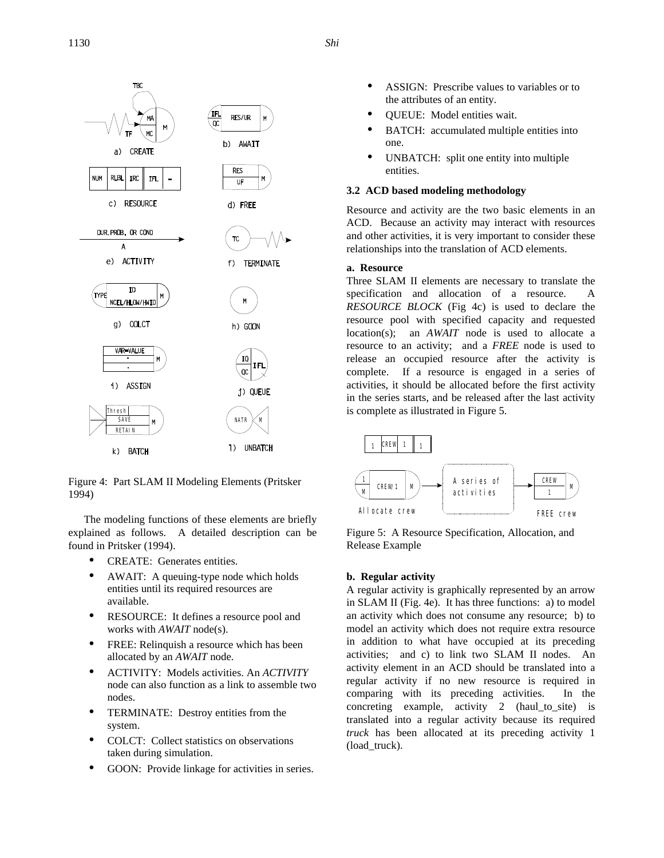

Figure 4: Part SLAM II Modeling Elements (Pritsker 1994)

The modeling functions of these elements are briefly explained as follows. A detailed description can be found in Pritsker (1994).

- CREATE: Generates entities.
- AWAIT: A queuing-type node which holds entities until its required resources are available.
- RESOURCE: It defines a resource pool and works with *AWAIT* node(s).
- FREE: Relinquish a resource which has been allocated by an *AWAIT* node*.*
- ACTIVITY: Models activities. An *ACTIVITY* node can also function as a link to assemble two nodes.
- TERMINATE: Destroy entities from the system.
- COLCT: Collect statistics on observations taken during simulation.
- GOON: Provide linkage for activities in series.
- ASSIGN: Prescribe values to variables or to the attributes of an entity.
- QUEUE: Model entities wait.
- BATCH: accumulated multiple entities into one.
- UNBATCH: split one entity into multiple entities.

## **3.2 ACD based modeling methodology**

Resource and activity are the two basic elements in an ACD. Because an activity may interact with resources and other activities, it is very important to consider these relationships into the translation of ACD elements.

# **a. Resource**

Three SLAM II elements are necessary to translate the specification and allocation of a resource. A *RESOURCE BLOCK* (Fig 4c) is used to declare the resource pool with specified capacity and requested location(s); an *AWAIT* node is used to allocate a resource to an activity; and a *FREE* node is used to release an occupied resource after the activity is complete. If a resource is engaged in a series of activities, it should be allocated before the first activity in the series starts, and be released after the last activity is complete as illustrated in Figure 5.



Figure 5: A Resource Specification, Allocation, and Release Example

### **b. Regular activity**

A regular activity is graphically represented by an arrow in SLAM II (Fig. 4e). It has three functions: a) to model an activity which does not consume any resource; b) to model an activity which does not require extra resource in addition to what have occupied at its preceding activities; and c) to link two SLAM II nodes. An activity element in an ACD should be translated into a regular activity if no new resource is required in comparing with its preceding activities. In the concreting example, activity 2 (haul to site) is translated into a regular activity because its required *truck* has been allocated at its preceding activity 1 (load\_truck).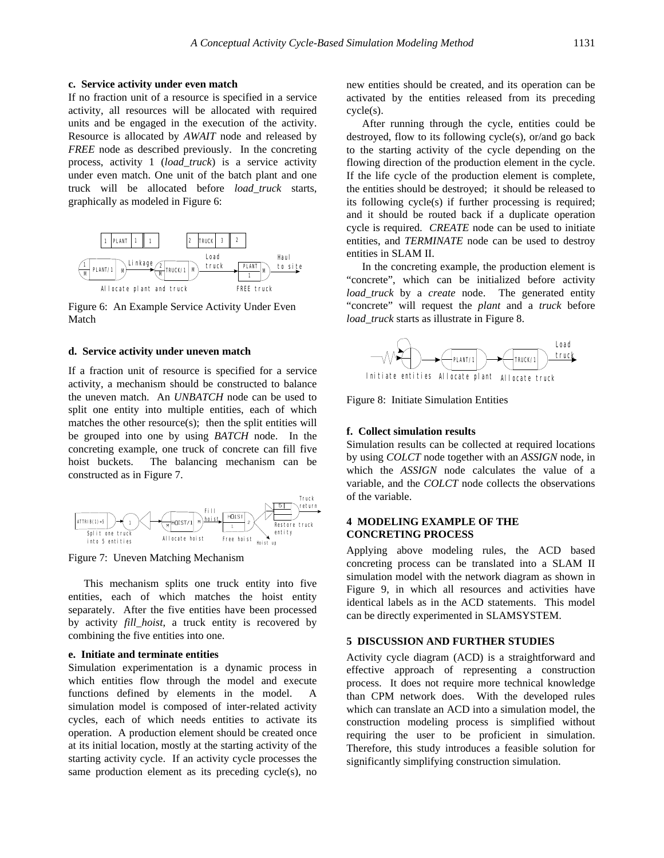## **c. Service activity under even match**

If no fraction unit of a resource is specified in a service activity, all resources will be allocated with required units and be engaged in the execution of the activity. Resource is allocated by *AWAIT* node and released by *FREE* node as described previously. In the concreting process, activity 1 (*load\_truck*) is a service activity under even match. One unit of the batch plant and one truck will be allocated before *load\_truck* starts, graphically as modeled in Figure 6:



Figure 6: An Example Service Activity Under Even Match

# **d. Service activity under uneven match**

If a fraction unit of resource is specified for a service activity, a mechanism should be constructed to balance the uneven match. An *UNBATCH* node can be used to split one entity into multiple entities, each of which matches the other resource(s); then the split entities will be grouped into one by using *BATCH* node. In the concreting example, one truck of concrete can fill five hoist buckets. The balancing mechanism can be constructed as in Figure 7.



Figure 7: Uneven Matching Mechanism

This mechanism splits one truck entity into five entities, each of which matches the hoist entity separately. After the five entities have been processed by activity *fill\_hoist*, a truck entity is recovered by combining the five entities into one.

### **e. Initiate and terminate entities**

Simulation experimentation is a dynamic process in which entities flow through the model and execute functions defined by elements in the model. A simulation model is composed of inter-related activity cycles, each of which needs entities to activate its operation. A production element should be created once at its initial location, mostly at the starting activity of the starting activity cycle. If an activity cycle processes the same production element as its preceding cycle(s), no

new entities should be created, and its operation can be activated by the entities released from its preceding cycle(s).

After running through the cycle, entities could be destroyed, flow to its following cycle(s), or/and go back to the starting activity of the cycle depending on the flowing direction of the production element in the cycle. If the life cycle of the production element is complete, the entities should be destroyed; it should be released to its following cycle(s) if further processing is required; and it should be routed back if a duplicate operation cycle is required. *CREATE* node can be used to initiate entities, and *TERMINATE* node can be used to destroy entities in SLAM II.

In the concreting example, the production element is "concrete", which can be initialized before activity *load truck* by a *create* node. The generated entity "concrete" will request the *plant* and a *truck* before *load\_truck* starts as illustrate in Figure 8.



Figure 8: Initiate Simulation Entities

#### **f. Collect simulation results**

Simulation results can be collected at required locations by using *COLCT* node together with an *ASSIGN* node, in which the *ASSIGN* node calculates the value of a variable, and the *COLCT* node collects the observations of the variable.

## **4 MODELING EXAMPLE OF THE CONCRETING PROCESS**

Applying above modeling rules, the ACD based concreting process can be translated into a SLAM II simulation model with the network diagram as shown in Figure 9, in which all resources and activities have identical labels as in the ACD statements. This model can be directly experimented in SLAMSYSTEM.

#### **5 DISCUSSION AND FURTHER STUDIES**

Activity cycle diagram (ACD) is a straightforward and effective approach of representing a construction process. It does not require more technical knowledge than CPM network does. With the developed rules which can translate an ACD into a simulation model, the construction modeling process is simplified without requiring the user to be proficient in simulation. Therefore, this study introduces a feasible solution for significantly simplifying construction simulation.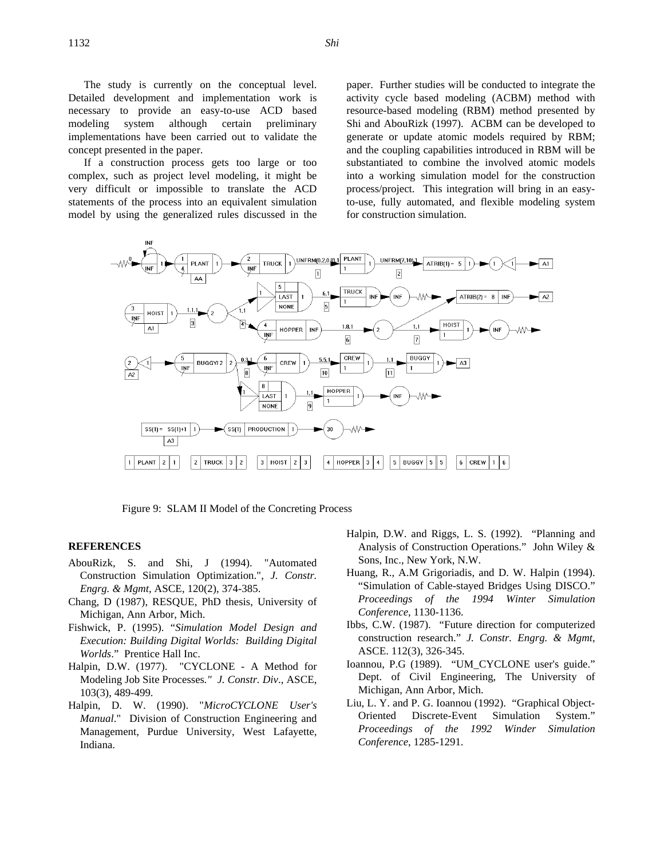The study is currently on the conceptual level. Detailed development and implementation work is necessary to provide an easy-to-use ACD based modeling system although certain preliminary implementations have been carried out to validate the concept presented in the paper.

If a construction process gets too large or too complex, such as project level modeling, it might be very difficult or impossible to translate the ACD statements of the process into an equivalent simulation model by using the generalized rules discussed in the paper. Further studies will be conducted to integrate the activity cycle based modeling (ACBM) method with resource-based modeling (RBM) method presented by Shi and AbouRizk (1997). ACBM can be developed to generate or update atomic models required by RBM; and the coupling capabilities introduced in RBM will be substantiated to combine the involved atomic models into a working simulation model for the construction process/project. This integration will bring in an easyto-use, fully automated, and flexible modeling system for construction simulation.



Figure 9: SLAM II Model of the Concreting Process

#### **REFERENCES**

- AbouRizk, S. and Shi, J (1994). "Automated Construction Simulation Optimization.", *J. Constr. Engrg. & Mgmt,* ASCE, 120(2), 374-385.
- Chang, D (1987), RESQUE, PhD thesis, University of Michigan, Ann Arbor, Mich.
- Fishwick, P. (1995). "*Simulation Model Design and Execution: Building Digital Worlds: Building Digital Worlds*." Prentice Hall Inc.
- Halpin, D.W. (1977). "CYCLONE A Method for Modeling Job Site Processes*." J. Constr. Div*., ASCE, 103(3), 489-499.
- Halpin, D. W. (1990). "*MicroCYCLONE User's Manual*." Division of Construction Engineering and Management, Purdue University, West Lafayette, Indiana.
- Halpin, D.W. and Riggs, L. S. (1992). "Planning and Analysis of Construction Operations." John Wiley & Sons, Inc., New York, N.W.
- Huang, R., A.M Grigoriadis, and D. W. Halpin (1994). "Simulation of Cable-stayed Bridges Using DISCO." *Proceedings of the 1994 Winter Simulation Conference*, 1130-1136.
- Ibbs, C.W. (1987). "Future direction for computerized construction research." *J. Constr. Engrg. & Mgmt*, ASCE. 112(3), 326-345.
- Ioannou, P.G (1989). "UM\_CYCLONE user's guide." Dept. of Civil Engineering, The University of Michigan, Ann Arbor, Mich.
- Liu, L. Y. and P. G. Ioannou (1992). "Graphical Object-Oriented Discrete-Event Simulation System." *Proceedings of the 1992 Winder Simulation Conference*, 1285-1291.